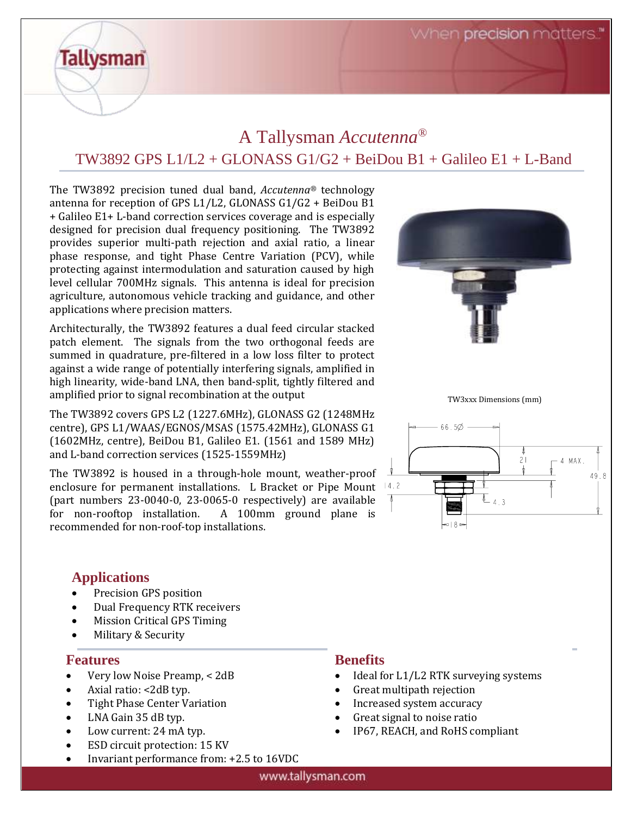When precision matters.

# A Tallysman *Accutenna®* TW3892 GPS  $L1/L2 + GLONASS G1/G2 + BeiDou B1 + Galileo E1 + L-Band$

The TW3892 precision tuned dual band, *Accutenna®* technology antenna for reception of GPS L1/L2, GLONASS G1/G2 + BeiDou B1 + Galileo E1+ L-band correction services coverage and is especially designed for precision dual frequency positioning. The TW3892 provides superior multi-path rejection and axial ratio, a linear phase response, and tight Phase Centre Variation (PCV), while protecting against intermodulation and saturation caused by high level cellular 700MHz signals. This antenna is ideal for precision agriculture, autonomous vehicle tracking and guidance, and other applications where precision matters.

Architecturally, the TW3892 features a dual feed circular stacked patch element. The signals from the two orthogonal feeds are summed in quadrature, pre-filtered in a low loss filter to protect against a wide range of potentially interfering signals, amplified in high linearity, wide-band LNA, then band-split, tightly filtered and amplified prior to signal recombination at the output

The TW3892 covers GPS L2 (1227.6MHz), GLONASS G2 (1248MHz centre), GPS L1/WAAS/EGNOS/MSAS (1575.42MHz), GLONASS G1 (1602MHz, centre), BeiDou B1, Galileo E1. (1561 and 1589 MHz) and L-band correction services (1525-1559MHz)

The TW3892 is housed in a through-hole mount, weather-proof enclosure for permanent installations. L Bracket or Pipe Mount 14.2 (part numbers 23-0040-0, 23-0065-0 respectively) are available for non-rooftop installation. A 100mm ground plane is recommended for non-roof-top installations.



TW3xxx Dimensions (mm)



#### **Applications**

**Tallysman** 

- Precision GPS position
- Dual Frequency RTK receivers
- Mission Critical GPS Timing
- Military & Security

#### **Features**

- Very low Noise Preamp, < 2dB
- Axial ratio: <2dB typ.
- Tight Phase Center Variation
- LNA Gain 35 dB typ.
- Low current: 24 mA typ.
- ESD circuit protection: 15 KV
- Invariant performance from: +2.5 to 16VDC

#### **Benefits**

- Ideal for L1/L2 RTK surveying systems
- Great multipath rejection
- Increased system accuracy
- Great signal to noise ratio
- IP67, REACH, and RoHS compliant